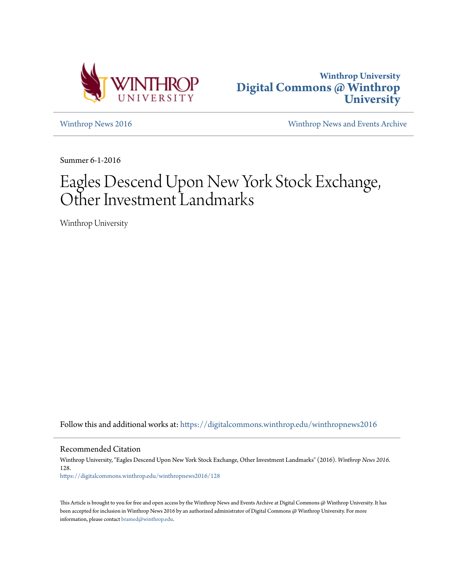



[Winthrop News 2016](https://digitalcommons.winthrop.edu/winthropnews2016?utm_source=digitalcommons.winthrop.edu%2Fwinthropnews2016%2F128&utm_medium=PDF&utm_campaign=PDFCoverPages) [Winthrop News and Events Archive](https://digitalcommons.winthrop.edu/winthropnewsarchives?utm_source=digitalcommons.winthrop.edu%2Fwinthropnews2016%2F128&utm_medium=PDF&utm_campaign=PDFCoverPages)

Summer 6-1-2016

# Eagles Descend Upon New York Stock Exchange, Other Investment Landmarks

Winthrop University

Follow this and additional works at: [https://digitalcommons.winthrop.edu/winthropnews2016](https://digitalcommons.winthrop.edu/winthropnews2016?utm_source=digitalcommons.winthrop.edu%2Fwinthropnews2016%2F128&utm_medium=PDF&utm_campaign=PDFCoverPages)

Recommended Citation

Winthrop University, "Eagles Descend Upon New York Stock Exchange, Other Investment Landmarks" (2016). *Winthrop News 2016*. 128. [https://digitalcommons.winthrop.edu/winthropnews2016/128](https://digitalcommons.winthrop.edu/winthropnews2016/128?utm_source=digitalcommons.winthrop.edu%2Fwinthropnews2016%2F128&utm_medium=PDF&utm_campaign=PDFCoverPages)

This Article is brought to you for free and open access by the Winthrop News and Events Archive at Digital Commons @ Winthrop University. It has been accepted for inclusion in Winthrop News 2016 by an authorized administrator of Digital Commons @ Winthrop University. For more information, please contact [bramed@winthrop.edu](mailto:bramed@winthrop.edu).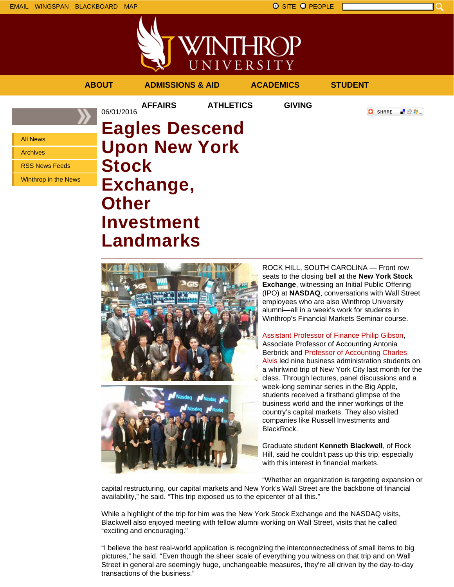EMAIL WINGSPAN BLACKBOARD MAP SITE O PEOPLE



**ABOUT ADMISSIONS & AID ACADEMICS STUDENT**

**C** SHARE 上级车。

All News

Archives

RSS News Feeds

Winthrop in the News

## **AFFAIRS ATHLETICS GIVING** 06/01/2016 **Eagles Descend Upon New York Stock Exchange, Other Investment Landmarks**





ROCK HILL, SOUTH CAROLINA — Front row seats to the closing bell at the **New York Stock Exchange**, witnessing an Initial Public Offering (IPO) at **NASDAQ**, conversations with Wall Street employees who are also Winthrop University alumni—all in a week's work for students in Winthrop's Financial Markets Seminar course.

Assistant Professor of Finance Philip Gibson, Associate Professor of Accounting Antonia Berbrick and Professor of Accounting Charles Alvis led nine business administration students on a whirlwind trip of New York City last month for the class. Through lectures, panel discussions and a week-long seminar series in the Big Apple, students received a firsthand glimpse of the business world and the inner workings of the country's capital markets. They also visited companies like Russell Investments and BlackRock.

Graduate student **Kenneth Blackwell**, of Rock Hill, said he couldn't pass up this trip, especially with this interest in financial markets.

"Whether an organization is targeting expansion or

capital restructuring, our capital markets and New York's Wall Street are the backbone of financial availability," he said. "This trip exposed us to the epicenter of all this."

While a highlight of the trip for him was the New York Stock Exchange and the NASDAQ visits, Blackwell also enjoyed meeting with fellow alumni working on Wall Street, visits that he called "exciting and encouraging."

"I believe the best real-world application is recognizing the interconnectedness of small items to big pictures," he said. "Even though the sheer scale of everything you witness on that trip and on Wall Street in general are seemingly huge, unchangeable measures, they're all driven by the day-to-day transactions of the business."